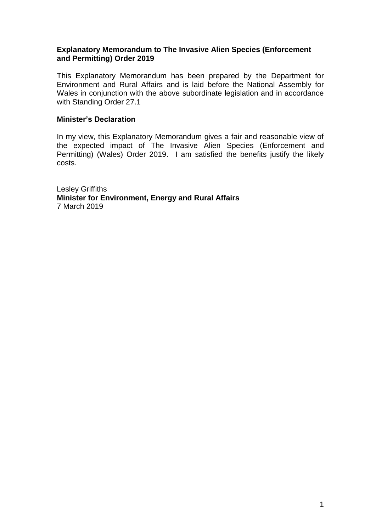#### **Explanatory Memorandum to The Invasive Alien Species (Enforcement and Permitting) Order 2019**

This Explanatory Memorandum has been prepared by the Department for Environment and Rural Affairs and is laid before the National Assembly for Wales in conjunction with the above subordinate legislation and in accordance with Standing Order 27.1

#### **Minister's Declaration**

In my view, this Explanatory Memorandum gives a fair and reasonable view of the expected impact of The Invasive Alien Species (Enforcement and Permitting) (Wales) Order 2019. I am satisfied the benefits justify the likely costs.

Lesley Griffiths **Minister for Environment, Energy and Rural Affairs** 7 March 2019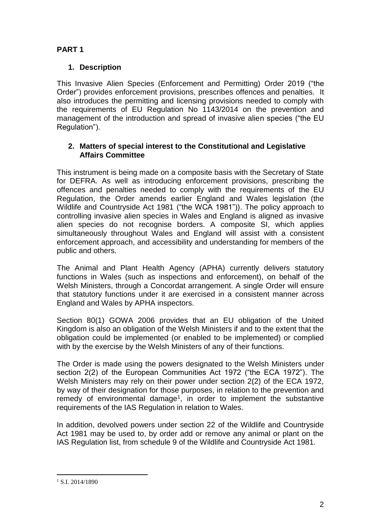# **PART 1**

## **1. Description**

This Invasive Alien Species (Enforcement and Permitting) Order 2019 ("the Order") provides enforcement provisions, prescribes offences and penalties. It also introduces the permitting and licensing provisions needed to comply with the requirements of EU Regulation No 1143/2014 on the prevention and management of the introduction and spread of invasive alien species ("the EU Regulation").

### **2. Matters of special interest to the Constitutional and Legislative Affairs Committee**

This instrument is being made on a composite basis with the Secretary of State for DEFRA. As well as introducing enforcement provisions, prescribing the offences and penalties needed to comply with the requirements of the EU Regulation, the Order amends earlier England and Wales legislation (the Wildlife and Countryside Act 1981 ("the WCA 1981")). The policy approach to controlling invasive alien species in Wales and England is aligned as invasive alien species do not recognise borders. A composite SI, which applies simultaneously throughout Wales and England will assist with a consistent enforcement approach, and accessibility and understanding for members of the public and others.

The Animal and Plant Health Agency (APHA) currently delivers statutory functions in Wales (such as inspections and enforcement), on behalf of the Welsh Ministers, through a Concordat arrangement. A single Order will ensure that statutory functions under it are exercised in a consistent manner across England and Wales by APHA inspectors.

Section 80(1) GOWA 2006 provides that an EU obligation of the United Kingdom is also an obligation of the Welsh Ministers if and to the extent that the obligation could be implemented (or enabled to be implemented) or complied with by the exercise by the Welsh Ministers of any of their functions.

The Order is made using the powers designated to the Welsh Ministers under section 2(2) of the European Communities Act 1972 ("the ECA 1972"). The Welsh Ministers may rely on their power under section 2(2) of the ECA 1972, by way of their designation for those purposes, in relation to the prevention and remedy of environmental damage<sup>1</sup>, in order to implement the substantive requirements of the IAS Regulation in relation to Wales.

In addition, devolved powers under section 22 of the Wildlife and Countryside Act 1981 may be used to, by order add or remove any animal or plant on the IAS Regulation list, from schedule 9 of the Wildlife and Countryside Act 1981.

<sup>1</sup>  $1$  S.I. 2014/1890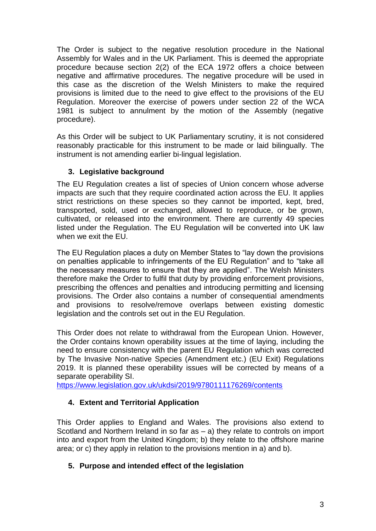The Order is subject to the negative resolution procedure in the National Assembly for Wales and in the UK Parliament. This is deemed the appropriate procedure because section 2(2) of the ECA 1972 offers a choice between negative and affirmative procedures. The negative procedure will be used in this case as the discretion of the Welsh Ministers to make the required provisions is limited due to the need to give effect to the provisions of the EU Regulation. Moreover the exercise of powers under section 22 of the WCA 1981 is subject to annulment by the motion of the Assembly (negative procedure).

As this Order will be subject to UK Parliamentary scrutiny, it is not considered reasonably practicable for this instrument to be made or laid bilingually. The instrument is not amending earlier bi-lingual legislation.

## **3. Legislative background**

The EU Regulation creates a list of species of Union concern whose adverse impacts are such that they require coordinated action across the EU. It applies strict restrictions on these species so they cannot be imported, kept, bred, transported, sold, used or exchanged, allowed to reproduce, or be grown, cultivated, or released into the environment. There are currently 49 species listed under the Regulation. The EU Regulation will be converted into UK law when we exit the EU.

The EU Regulation places a duty on Member States to "lay down the provisions on penalties applicable to infringements of the EU Regulation" and to "take all the necessary measures to ensure that they are applied". The Welsh Ministers therefore make the Order to fulfil that duty by providing enforcement provisions, prescribing the offences and penalties and introducing permitting and licensing provisions. The Order also contains a number of consequential amendments and provisions to resolve/remove overlaps between existing domestic legislation and the controls set out in the EU Regulation.

This Order does not relate to withdrawal from the European Union. However, the Order contains known operability issues at the time of laying, including the need to ensure consistency with the parent EU Regulation which was corrected by The Invasive Non-native Species (Amendment etc.) (EU Exit) Regulations 2019. It is planned these operability issues will be corrected by means of a separate operability SI.

<https://www.legislation.gov.uk/ukdsi/2019/9780111176269/contents>

## **4. Extent and Territorial Application**

This Order applies to England and Wales. The provisions also extend to Scotland and Northern Ireland in so far as – a) they relate to controls on import into and export from the United Kingdom; b) they relate to the offshore marine area; or c) they apply in relation to the provisions mention in a) and b).

## **5. Purpose and intended effect of the legislation**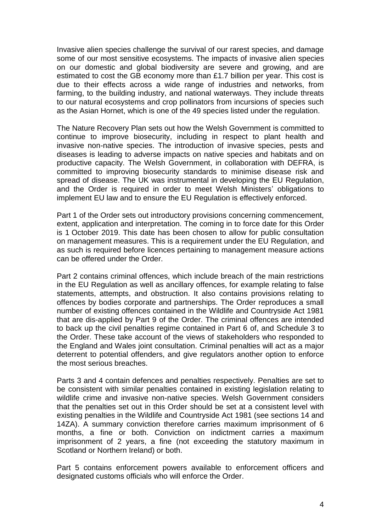Invasive alien species challenge the survival of our rarest species, and damage some of our most sensitive ecosystems. The impacts of invasive alien species on our domestic and global biodiversity are severe and growing, and are estimated to cost the GB economy more than £1.7 billion per year. This cost is due to their effects across a wide range of industries and networks, from farming, to the building industry, and national waterways. They include threats to our natural ecosystems and crop pollinators from incursions of species such as the Asian Hornet, which is one of the 49 species listed under the regulation.

The Nature Recovery Plan sets out how the Welsh Government is committed to continue to improve biosecurity, including in respect to plant health and invasive non-native species. The introduction of invasive species, pests and diseases is leading to adverse impacts on native species and habitats and on productive capacity. The Welsh Government, in collaboration with DEFRA, is committed to improving biosecurity standards to minimise disease risk and spread of disease. The UK was instrumental in developing the EU Regulation, and the Order is required in order to meet Welsh Ministers' obligations to implement EU law and to ensure the EU Regulation is effectively enforced.

Part 1 of the Order sets out introductory provisions concerning commencement, extent, application and interpretation. The coming in to force date for this Order is 1 October 2019. This date has been chosen to allow for public consultation on management measures. This is a requirement under the EU Regulation, and as such is required before licences pertaining to management measure actions can be offered under the Order.

Part 2 contains criminal offences, which include breach of the main restrictions in the EU Regulation as well as ancillary offences, for example relating to false statements, attempts, and obstruction. It also contains provisions relating to offences by bodies corporate and partnerships. The Order reproduces a small number of existing offences contained in the Wildlife and Countryside Act 1981 that are dis-applied by Part 9 of the Order. The criminal offences are intended to back up the civil penalties regime contained in Part 6 of, and Schedule 3 to the Order. These take account of the views of stakeholders who responded to the England and Wales joint consultation. Criminal penalties will act as a major deterrent to potential offenders, and give regulators another option to enforce the most serious breaches.

Parts 3 and 4 contain defences and penalties respectively. Penalties are set to be consistent with similar penalties contained in existing legislation relating to wildlife crime and invasive non-native species. Welsh Government considers that the penalties set out in this Order should be set at a consistent level with existing penalties in the Wildlife and Countryside Act 1981 (see sections 14 and 14ZA). A summary conviction therefore carries maximum imprisonment of 6 months, a fine or both. Conviction on indictment carries a maximum imprisonment of 2 years, a fine (not exceeding the statutory maximum in Scotland or Northern Ireland) or both.

Part 5 contains enforcement powers available to enforcement officers and designated customs officials who will enforce the Order.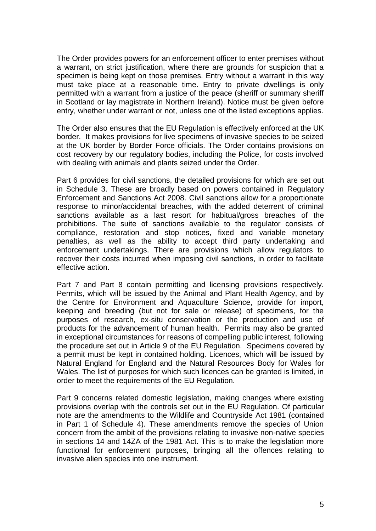The Order provides powers for an enforcement officer to enter premises without a warrant, on strict justification, where there are grounds for suspicion that a specimen is being kept on those premises. Entry without a warrant in this way must take place at a reasonable time. Entry to private dwellings is only permitted with a warrant from a justice of the peace (sheriff or summary sheriff in Scotland or lay magistrate in Northern Ireland). Notice must be given before entry, whether under warrant or not, unless one of the listed exceptions applies.

The Order also ensures that the EU Regulation is effectively enforced at the UK border. It makes provisions for live specimens of invasive species to be seized at the UK border by Border Force officials. The Order contains provisions on cost recovery by our regulatory bodies, including the Police, for costs involved with dealing with animals and plants seized under the Order.

Part 6 provides for civil sanctions, the detailed provisions for which are set out in Schedule 3. These are broadly based on powers contained in Regulatory Enforcement and Sanctions Act 2008. Civil sanctions allow for a proportionate response to minor/accidental breaches, with the added deterrent of criminal sanctions available as a last resort for habitual/gross breaches of the prohibitions. The suite of sanctions available to the regulator consists of compliance, restoration and stop notices, fixed and variable monetary penalties, as well as the ability to accept third party undertaking and enforcement undertakings. There are provisions which allow regulators to recover their costs incurred when imposing civil sanctions, in order to facilitate effective action.

Part 7 and Part 8 contain permitting and licensing provisions respectively. Permits, which will be issued by the Animal and Plant Health Agency, and by the Centre for Environment and Aquaculture Science, provide for import, keeping and breeding (but not for sale or release) of specimens, for the purposes of research, ex-situ conservation or the production and use of products for the advancement of human health. Permits may also be granted in exceptional circumstances for reasons of compelling public interest, following the procedure set out in Article 9 of the EU Regulation. Specimens covered by a permit must be kept in contained holding. Licences, which will be issued by Natural England for England and the Natural Resources Body for Wales for Wales. The list of purposes for which such licences can be granted is limited, in order to meet the requirements of the EU Regulation.

Part 9 concerns related domestic legislation, making changes where existing provisions overlap with the controls set out in the EU Regulation. Of particular note are the amendments to the Wildlife and Countryside Act 1981 (contained in Part 1 of Schedule 4). These amendments remove the species of Union concern from the ambit of the provisions relating to invasive non-native species in sections 14 and 14ZA of the 1981 Act. This is to make the legislation more functional for enforcement purposes, bringing all the offences relating to invasive alien species into one instrument.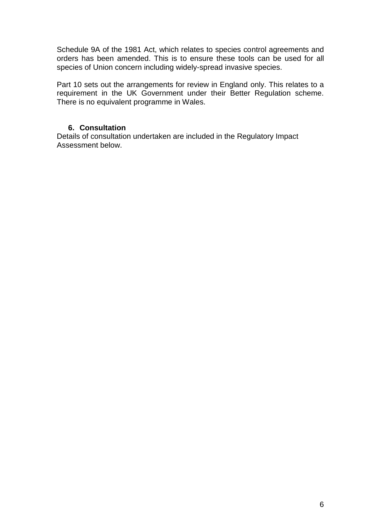Schedule 9A of the 1981 Act, which relates to species control agreements and orders has been amended. This is to ensure these tools can be used for all species of Union concern including widely-spread invasive species.

Part 10 sets out the arrangements for review in England only. This relates to a requirement in the UK Government under their Better Regulation scheme. There is no equivalent programme in Wales.

## **6. Consultation**

Details of consultation undertaken are included in the Regulatory Impact Assessment below.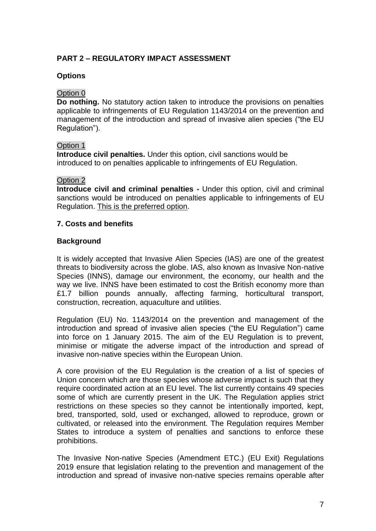## **PART 2 – REGULATORY IMPACT ASSESSMENT**

#### **Options**

#### Option 0

**Do nothing.** No statutory action taken to introduce the provisions on penalties applicable to infringements of EU Regulation 1143/2014 on the prevention and management of the introduction and spread of invasive alien species ("the EU Regulation").

#### Option 1

**Introduce civil penalties.** Under this option, civil sanctions would be introduced to on penalties applicable to infringements of EU Regulation.

#### Option 2

**Introduce civil and criminal penalties -** Under this option, civil and criminal sanctions would be introduced on penalties applicable to infringements of EU Regulation. This is the preferred option.

### **7. Costs and benefits**

#### **Background**

It is widely accepted that Invasive Alien Species (IAS) are one of the greatest threats to biodiversity across the globe. IAS, also known as Invasive Non-native Species (INNS), damage our environment, the economy, our health and the way we live. INNS have been estimated to cost the British economy more than £1.7 billion pounds annually, affecting farming, horticultural transport, construction, recreation, aquaculture and utilities.

Regulation (EU) No. 1143/2014 on the prevention and management of the introduction and spread of invasive alien species ("the EU Regulation") came into force on 1 January 2015. The aim of the EU Regulation is to prevent, minimise or mitigate the adverse impact of the introduction and spread of invasive non-native species within the European Union.

A core provision of the EU Regulation is the creation of a list of species of Union concern which are those species whose adverse impact is such that they require coordinated action at an EU level. The list currently contains 49 species some of which are currently present in the UK. The Regulation applies strict restrictions on these species so they cannot be intentionally imported, kept, bred, transported, sold, used or exchanged, allowed to reproduce, grown or cultivated, or released into the environment. The Regulation requires Member States to introduce a system of penalties and sanctions to enforce these prohibitions.

The Invasive Non-native Species (Amendment ETC.) (EU Exit) Regulations 2019 ensure that legislation relating to the prevention and management of the introduction and spread of invasive non-native species remains operable after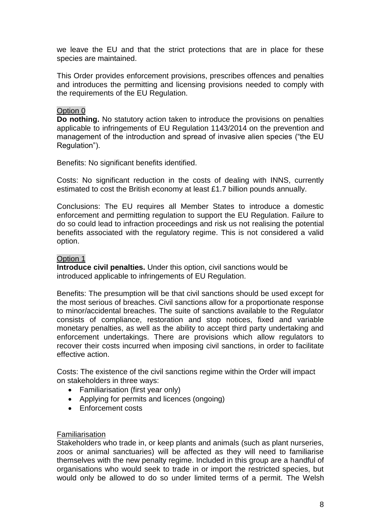we leave the EU and that the strict protections that are in place for these species are maintained.

This Order provides enforcement provisions, prescribes offences and penalties and introduces the permitting and licensing provisions needed to comply with the requirements of the EU Regulation.

#### Option 0

**Do nothing.** No statutory action taken to introduce the provisions on penalties applicable to infringements of EU Regulation 1143/2014 on the prevention and management of the introduction and spread of invasive alien species ("the EU Regulation").

Benefits: No significant benefits identified.

Costs: No significant reduction in the costs of dealing with INNS, currently estimated to cost the British economy at least £1.7 billion pounds annually.

Conclusions: The EU requires all Member States to introduce a domestic enforcement and permitting regulation to support the EU Regulation. Failure to do so could lead to infraction proceedings and risk us not realising the potential benefits associated with the regulatory regime. This is not considered a valid option.

#### Option 1

**Introduce civil penalties.** Under this option, civil sanctions would be introduced applicable to infringements of EU Regulation.

Benefits: The presumption will be that civil sanctions should be used except for the most serious of breaches. Civil sanctions allow for a proportionate response to minor/accidental breaches. The suite of sanctions available to the Regulator consists of compliance, restoration and stop notices, fixed and variable monetary penalties, as well as the ability to accept third party undertaking and enforcement undertakings. There are provisions which allow regulators to recover their costs incurred when imposing civil sanctions, in order to facilitate effective action.

Costs: The existence of the civil sanctions regime within the Order will impact on stakeholders in three ways:

- Familiarisation (first year only)
- Applying for permits and licences (ongoing)
- Enforcement costs

#### Familiarisation

Stakeholders who trade in, or keep plants and animals (such as plant nurseries, zoos or animal sanctuaries) will be affected as they will need to familiarise themselves with the new penalty regime. Included in this group are a handful of organisations who would seek to trade in or import the restricted species, but would only be allowed to do so under limited terms of a permit. The Welsh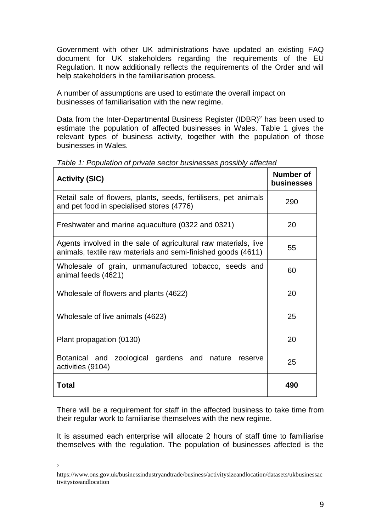Government with other UK administrations have updated an existing FAQ document for UK stakeholders regarding the requirements of the EU Regulation. It now additionally reflects the requirements of the Order and will help stakeholders in the familiarisation process.

A number of assumptions are used to estimate the overall impact on businesses of familiarisation with the new regime.

Data from the Inter-Departmental Business Register (IDBR)<sup>2</sup> has been used to estimate the population of affected businesses in Wales. Table 1 gives the relevant types of business activity, together with the population of those businesses in Wales.

| <b>Activity (SIC)</b>                                                                                                            | <b>Number of</b><br>businesses |
|----------------------------------------------------------------------------------------------------------------------------------|--------------------------------|
| Retail sale of flowers, plants, seeds, fertilisers, pet animals<br>and pet food in specialised stores (4776)                     | 290                            |
| Freshwater and marine aquaculture (0322 and 0321)                                                                                | 20                             |
| Agents involved in the sale of agricultural raw materials, live<br>animals, textile raw materials and semi-finished goods (4611) | 55                             |
| Wholesale of grain, unmanufactured tobacco, seeds and<br>animal feeds (4621)                                                     | 60                             |
| Wholesale of flowers and plants (4622)                                                                                           | 20                             |
| Wholesale of live animals (4623)                                                                                                 | 25                             |
| Plant propagation (0130)                                                                                                         | 20                             |
| zoological gardens and nature<br>Botanical and<br>reserve<br>activities (9104)                                                   | 25                             |
| <b>Total</b>                                                                                                                     | 490                            |

*Table 1: Population of private sector businesses possibly affected*

There will be a requirement for staff in the affected business to take time from their regular work to familiarise themselves with the new regime.

It is assumed each enterprise will allocate 2 hours of staff time to familiarise themselves with the regulation. The population of businesses affected is the

 $\frac{1}{2}$ 

https://www.ons.gov.uk/businessindustryandtrade/business/activitysizeandlocation/datasets/ukbusinessac tivitysizeandlocation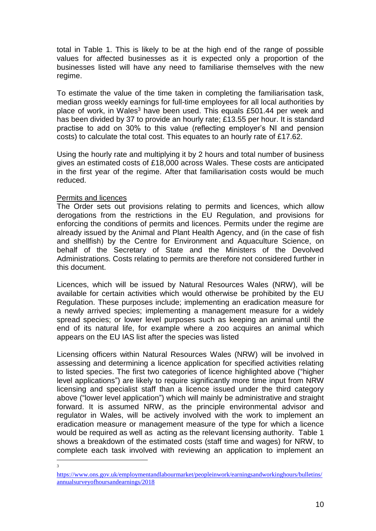total in Table 1. This is likely to be at the high end of the range of possible values for affected businesses as it is expected only a proportion of the businesses listed will have any need to familiarise themselves with the new regime.

To estimate the value of the time taken in completing the familiarisation task, median gross weekly earnings for full-time employees for all local authorities by place of work, in Wales<sup>3</sup> have been used. This equals £501.44 per week and has been divided by 37 to provide an hourly rate; £13.55 per hour. It is standard practise to add on 30% to this value (reflecting employer's NI and pension costs) to calculate the total cost. This equates to an hourly rate of £17.62.

Using the hourly rate and multiplying it by 2 hours and total number of business gives an estimated costs of £18,000 across Wales. These costs are anticipated in the first year of the regime. After that familiarisation costs would be much reduced.

#### Permits and licences

The Order sets out provisions relating to permits and licences, which allow derogations from the restrictions in the EU Regulation, and provisions for enforcing the conditions of permits and licences. Permits under the regime are already issued by the Animal and Plant Health Agency, and (in the case of fish and shellfish) by the Centre for Environment and Aquaculture Science, on behalf of the Secretary of State and the Ministers of the Devolved Administrations. Costs relating to permits are therefore not considered further in this document.

Licences, which will be issued by Natural Resources Wales (NRW), will be available for certain activities which would otherwise be prohibited by the EU Regulation. These purposes include; implementing an eradication measure for a newly arrived species; implementing a management measure for a widely spread species; or lower level purposes such as keeping an animal until the end of its natural life, for example where a zoo acquires an animal which appears on the EU IAS list after the species was listed

Licensing officers within Natural Resources Wales (NRW) will be involved in assessing and determining a licence application for specified activities relating to listed species. The first two categories of licence highlighted above ("higher level applications") are likely to require significantly more time input from NRW licensing and specialist staff than a licence issued under the third category above ("lower level application") which will mainly be administrative and straight forward. It is assumed NRW, as the principle environmental advisor and regulator in Wales, will be actively involved with the work to implement an eradication measure or management measure of the type for which a licence would be required as well as acting as the relevant licensing authority. Table 1 shows a breakdown of the estimated costs (staff time and wages) for NRW, to complete each task involved with reviewing an application to implement an

 $\frac{1}{3}$ 

[https://www.ons.gov.uk/employmentandlabourmarket/peopleinwork/earningsandworkinghours/bulletins/](https://www.ons.gov.uk/employmentandlabourmarket/peopleinwork/earningsandworkinghours/bulletins/annualsurveyofhoursandearnings/2018) [annualsurveyofhoursandearnings/2018](https://www.ons.gov.uk/employmentandlabourmarket/peopleinwork/earningsandworkinghours/bulletins/annualsurveyofhoursandearnings/2018)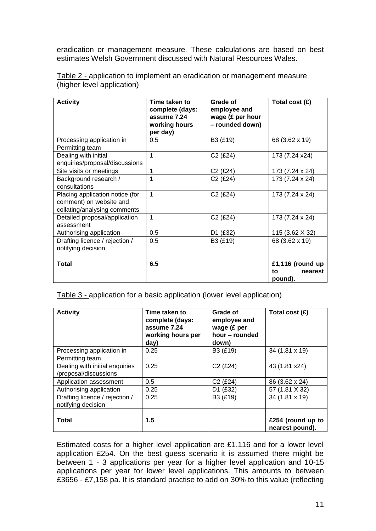eradication or management measure. These calculations are based on best estimates Welsh Government discussed with Natural Resources Wales.

| <b>Activity</b>                                                                            | Time taken to<br>complete (days:<br>assume 7.24<br>working hours<br>per day) | Grade of<br>employee and<br>wage (£ per hour<br>- rounded down) | Total cost (£)                               |
|--------------------------------------------------------------------------------------------|------------------------------------------------------------------------------|-----------------------------------------------------------------|----------------------------------------------|
| Processing application in<br>Permitting team                                               | 0.5                                                                          | B3 (£19)                                                        | 68 (3.62 x 19)                               |
| Dealing with initial<br>enquiries/proposal/discussions                                     | 1                                                                            | $C2$ (£24)                                                      | 173 (7.24 x24)                               |
| Site visits or meetings                                                                    | 1                                                                            | C <sub>2</sub> (£24)                                            | 173 (7.24 x 24)                              |
| Background research /<br>consultations                                                     | 1                                                                            | $C2$ (£24)                                                      | 173 (7.24 x 24)                              |
| Placing application notice (for<br>comment) on website and<br>collating/analysing comments | 1                                                                            | $C2$ (£24)                                                      | 173 (7.24 x 24)                              |
| Detailed proposal/application<br>assessment                                                | 1                                                                            | $C2$ (£24)                                                      | 173 (7.24 x 24)                              |
| Authorising application                                                                    | 0.5                                                                          | D1 (£32)                                                        | 115 (3.62 X 32)                              |
| Drafting licence / rejection /<br>notifying decision                                       | 0.5                                                                          | B3 (£19)                                                        | 68 (3.62 x 19)                               |
| Total                                                                                      | 6.5                                                                          |                                                                 | £1,116 (round up<br>to<br>nearest<br>pound). |

Table 2 - application to implement an eradication or management measure (higher level application)

Table 3 - application for a basic application (lower level application)

| <b>Activity</b>                                         | Time taken to<br>complete (days:<br>assume 7.24<br>working hours per<br>day) | Grade of<br>employee and<br>wage (£ per<br>hour – rounded<br>down) | Total cost (£)                       |
|---------------------------------------------------------|------------------------------------------------------------------------------|--------------------------------------------------------------------|--------------------------------------|
| Processing application in<br>Permitting team            | 0.25                                                                         | B3 (£19)                                                           | 34 (1.81 x 19)                       |
| Dealing with initial enquiries<br>/proposal/discussions | 0.25                                                                         | $C2$ (£24)                                                         | 43 (1.81 x24)                        |
| Application assessment                                  | 0.5                                                                          | $C2$ (£24)                                                         | 86 (3.62 x 24)                       |
| Authorising application                                 | 0.25                                                                         | D1 (£32)                                                           | 57 (1.81 X 32)                       |
| Drafting licence / rejection /<br>notifying decision    | 0.25                                                                         | B3 (£19)                                                           | 34 (1.81 x 19)                       |
| <b>Total</b>                                            | 1.5                                                                          |                                                                    | £254 (round up to<br>nearest pound). |

Estimated costs for a higher level application are £1,116 and for a lower level application £254. On the best guess scenario it is assumed there might be between 1 - 3 applications per year for a higher level application and 10-15 applications per year for lower level applications. This amounts to between £3656 - £7,158 pa. It is standard practise to add on 30% to this value (reflecting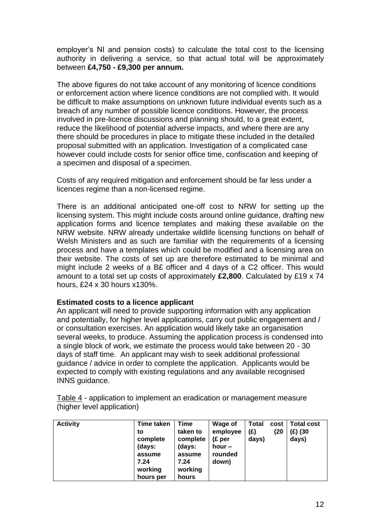employer's NI and pension costs) to calculate the total cost to the licensing authority in delivering a service, so that actual total will be approximately between **£4,750 - £9,300 per annum.**

The above figures do not take account of any monitoring of licence conditions or enforcement action where licence conditions are not complied with. It would be difficult to make assumptions on unknown future individual events such as a breach of any number of possible licence conditions. However, the process involved in pre-licence discussions and planning should, to a great extent, reduce the likelihood of potential adverse impacts, and where there are any there should be procedures in place to mitigate these included in the detailed proposal submitted with an application. Investigation of a complicated case however could include costs for senior office time, confiscation and keeping of a specimen and disposal of a specimen.

Costs of any required mitigation and enforcement should be far less under a licences regime than a non-licensed regime.

There is an additional anticipated one-off cost to NRW for setting up the licensing system. This might include costs around online guidance, drafting new application forms and licence templates and making these available on the NRW website. NRW already undertake wildlife licensing functions on behalf of Welsh Ministers and as such are familiar with the requirements of a licensing process and have a templates which could be modified and a licensing area on their website. The costs of set up are therefore estimated to be minimal and might include 2 weeks of a B£ officer and 4 days of a C2 officer. This would amount to a total set up costs of approximately **£2,800**. Calculated by £19 x 74 hours, £24 x 30 hours x130%.

#### **Estimated costs to a licence applicant**

An applicant will need to provide supporting information with any application and potentially, for higher level applications, carry out public engagement and / or consultation exercises. An application would likely take an organisation several weeks, to produce. Assuming the application process is condensed into a single block of work, we estimate the process would take between 20 - 30 days of staff time. An applicant may wish to seek additional professional guidance / advice in order to complete the application. Applicants would be expected to comply with existing regulations and any available recognised INNS guidance.

| <b>Activity</b> | <b>Time taken</b><br>to<br>complete<br>(days:<br>assume<br>7.24<br>working | Time<br>taken to<br>complete<br>(days:<br>assume<br>7.24<br>working | Wage of<br>employee<br>(E <sub>per</sub> )<br>hour $-$<br>rounded<br>down) | Total<br>(£)<br>days) | cost<br>(20 | <b>Total cost</b><br>(£) (30<br>days) |
|-----------------|----------------------------------------------------------------------------|---------------------------------------------------------------------|----------------------------------------------------------------------------|-----------------------|-------------|---------------------------------------|
|                 | hours per                                                                  | hours                                                               |                                                                            |                       |             |                                       |

Table 4 - application to implement an eradication or management measure (higher level application)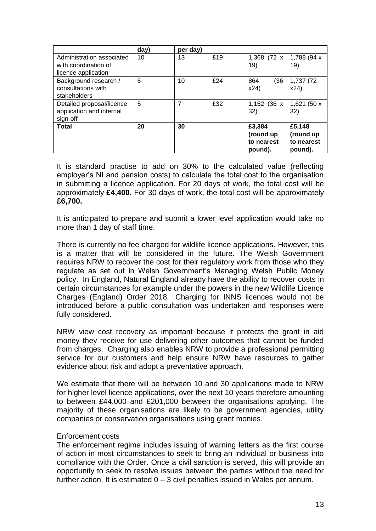|                                                                          | day) | per day) |     |                                              |                                              |
|--------------------------------------------------------------------------|------|----------|-----|----------------------------------------------|----------------------------------------------|
| Administration associated<br>with coordination of<br>licence application | 10   | 13       | £19 | 1,368 (72 x<br>19)                           | 1,788 (94 x<br>19)                           |
| Background research /<br>consultations with<br>stakeholders              | 5    | 10       | £24 | (36)<br>864<br>x24)                          | 1,737 (72<br>x24)                            |
| Detailed proposal/licence<br>application and internal<br>sign-off        | 5    | 7        | £32 | 1,152 (36 x<br>32)                           | 1,621 (50 x<br>32)                           |
| <b>Total</b>                                                             | 20   | 30       |     | £3,384<br>(round up<br>to nearest<br>pound). | £5,148<br>(round up<br>to nearest<br>pound). |

It is standard practise to add on 30% to the calculated value (reflecting employer's NI and pension costs) to calculate the total cost to the organisation in submitting a licence application. For 20 days of work, the total cost will be approximately **£4,400.** For 30 days of work, the total cost will be approximately **£6,700.**

It is anticipated to prepare and submit a lower level application would take no more than 1 day of staff time.

There is currently no fee charged for wildlife licence applications. However, this is a matter that will be considered in the future. The Welsh Government requires NRW to recover the cost for their regulatory work from those who they regulate as set out in Welsh Government's Managing Welsh Public Money policy. In England, Natural England already have the ability to recover costs in certain circumstances for example under the powers in the new Wildlife Licence Charges (England) Order 2018. Charging for INNS licences would not be introduced before a public consultation was undertaken and responses were fully considered.

NRW view cost recovery as important because it protects the grant in aid money they receive for use delivering other outcomes that cannot be funded from charges. Charging also enables NRW to provide a professional permitting service for our customers and help ensure NRW have resources to gather evidence about risk and adopt a preventative approach.

We estimate that there will be between 10 and 30 applications made to NRW for higher level licence applications, over the next 10 years therefore amounting to between £44,000 and £201,000 between the organisations applying. The majority of these organisations are likely to be government agencies, utility companies or conservation organisations using grant monies.

#### Enforcement costs

The enforcement regime includes issuing of warning letters as the first course of action in most circumstances to seek to bring an individual or business into compliance with the Order. Once a civil sanction is served, this will provide an opportunity to seek to resolve issues between the parties without the need for further action. It is estimated 0 – 3 civil penalties issued in Wales per annum.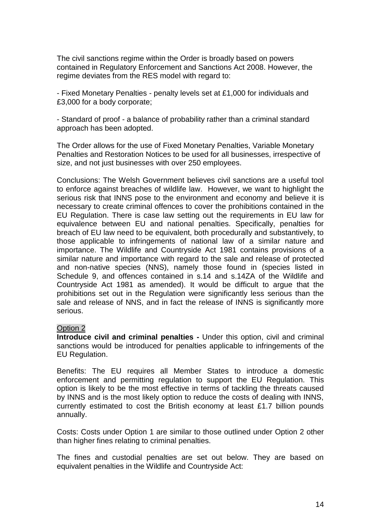The civil sanctions regime within the Order is broadly based on powers contained in Regulatory Enforcement and Sanctions Act 2008. However, the regime deviates from the RES model with regard to:

- Fixed Monetary Penalties - penalty levels set at £1,000 for individuals and £3,000 for a body corporate;

- Standard of proof - a balance of probability rather than a criminal standard approach has been adopted.

The Order allows for the use of Fixed Monetary Penalties, Variable Monetary Penalties and Restoration Notices to be used for all businesses, irrespective of size, and not just businesses with over 250 employees.

Conclusions: The Welsh Government believes civil sanctions are a useful tool to enforce against breaches of wildlife law. However, we want to highlight the serious risk that INNS pose to the environment and economy and believe it is necessary to create criminal offences to cover the prohibitions contained in the EU Regulation. There is case law setting out the requirements in EU law for equivalence between EU and national penalties. Specifically, penalties for breach of EU law need to be equivalent, both procedurally and substantively, to those applicable to infringements of national law of a similar nature and importance. The Wildlife and Countryside Act 1981 contains provisions of a similar nature and importance with regard to the sale and release of protected and non-native species (NNS), namely those found in (species listed in Schedule 9, and offences contained in s.14 and s.14ZA of the Wildlife and Countryside Act 1981 as amended). It would be difficult to argue that the prohibitions set out in the Regulation were significantly less serious than the sale and release of NNS, and in fact the release of INNS is significantly more serious.

#### Option 2

**Introduce civil and criminal penalties -** Under this option, civil and criminal sanctions would be introduced for penalties applicable to infringements of the EU Regulation.

Benefits: The EU requires all Member States to introduce a domestic enforcement and permitting regulation to support the EU Regulation. This option is likely to be the most effective in terms of tackling the threats caused by INNS and is the most likely option to reduce the costs of dealing with INNS, currently estimated to cost the British economy at least £1.7 billion pounds annually.

Costs: Costs under Option 1 are similar to those outlined under Option 2 other than higher fines relating to criminal penalties.

The fines and custodial penalties are set out below. They are based on equivalent penalties in the Wildlife and Countryside Act: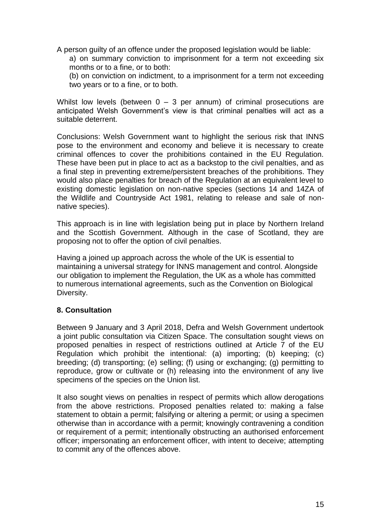A person guilty of an offence under the proposed legislation would be liable:

a) on summary conviction to imprisonment for a term not exceeding six months or to a fine, or to both:

(b) on conviction on indictment, to a imprisonment for a term not exceeding two years or to a fine, or to both.

Whilst low levels (between  $0 - 3$  per annum) of criminal prosecutions are anticipated Welsh Government's view is that criminal penalties will act as a suitable deterrent.

Conclusions: Welsh Government want to highlight the serious risk that INNS pose to the environment and economy and believe it is necessary to create criminal offences to cover the prohibitions contained in the EU Regulation. These have been put in place to act as a backstop to the civil penalties, and as a final step in preventing extreme/persistent breaches of the prohibitions. They would also place penalties for breach of the Regulation at an equivalent level to existing domestic legislation on non-native species (sections 14 and 14ZA of the Wildlife and Countryside Act 1981, relating to release and sale of nonnative species).

This approach is in line with legislation being put in place by Northern Ireland and the Scottish Government. Although in the case of Scotland, they are proposing not to offer the option of civil penalties.

Having a joined up approach across the whole of the UK is essential to maintaining a universal strategy for INNS management and control. Alongside our obligation to implement the Regulation, the UK as a whole has committed to numerous international agreements, such as the Convention on Biological Diversity.

## **8. Consultation**

Between 9 January and 3 April 2018, Defra and Welsh Government undertook a joint public consultation via Citizen Space. The consultation sought views on proposed penalties in respect of restrictions outlined at Article 7 of the EU Regulation which prohibit the intentional: (a) importing; (b) keeping; (c) breeding; (d) transporting; (e) selling; (f) using or exchanging; (g) permitting to reproduce, grow or cultivate or (h) releasing into the environment of any live specimens of the species on the Union list.

It also sought views on penalties in respect of permits which allow derogations from the above restrictions. Proposed penalties related to: making a false statement to obtain a permit; falsifying or altering a permit; or using a specimen otherwise than in accordance with a permit; knowingly contravening a condition or requirement of a permit; intentionally obstructing an authorised enforcement officer; impersonating an enforcement officer, with intent to deceive; attempting to commit any of the offences above.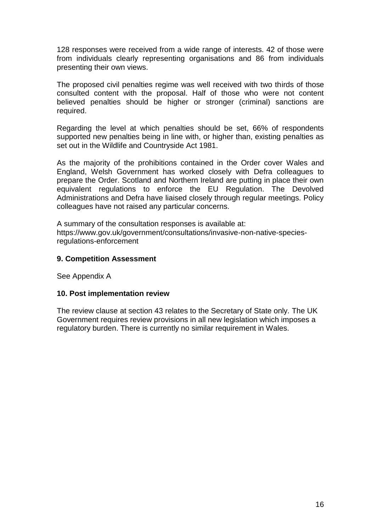128 responses were received from a wide range of interests. 42 of those were from individuals clearly representing organisations and 86 from individuals presenting their own views.

The proposed civil penalties regime was well received with two thirds of those consulted content with the proposal. Half of those who were not content believed penalties should be higher or stronger (criminal) sanctions are required.

Regarding the level at which penalties should be set, 66% of respondents supported new penalties being in line with, or higher than, existing penalties as set out in the Wildlife and Countryside Act 1981.

As the majority of the prohibitions contained in the Order cover Wales and England, Welsh Government has worked closely with Defra colleagues to prepare the Order. Scotland and Northern Ireland are putting in place their own equivalent regulations to enforce the EU Regulation. The Devolved Administrations and Defra have liaised closely through regular meetings. Policy colleagues have not raised any particular concerns.

A summary of the consultation responses is available at: [https://www.gov.uk/government/consultations/invasive-non-native-species](https://www.gov.uk/government/consultations/invasive-non-native-species-regulations-enforcement)[regulations-enforcement](https://www.gov.uk/government/consultations/invasive-non-native-species-regulations-enforcement)

#### **9. Competition Assessment**

See Appendix A

#### **10. Post implementation review**

The review clause at section 43 relates to the Secretary of State only. The UK Government requires review provisions in all new legislation which imposes a regulatory burden. There is currently no similar requirement in Wales.